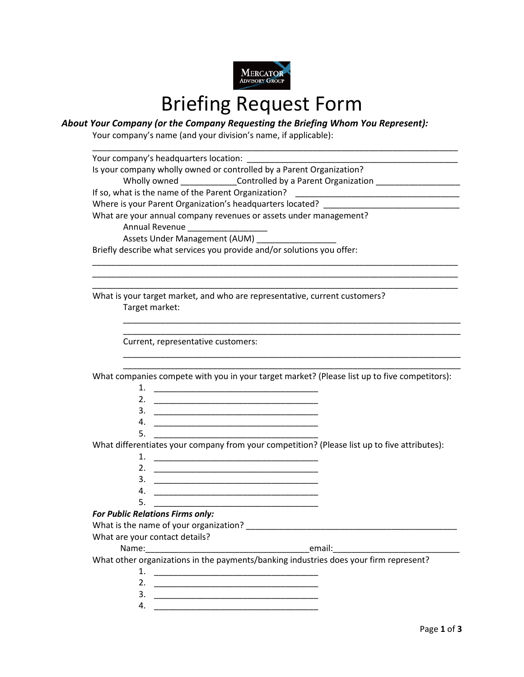

## Briefing Request Form

## *About Your Company (or the Company Requesting the Briefing Whom You Represent):*

Your company's name (and your division's name, if applicable):

| Your company's headquarters location:                                                                                                                                                                                      |  |  |  |  |                                                                            |  |  |  |
|----------------------------------------------------------------------------------------------------------------------------------------------------------------------------------------------------------------------------|--|--|--|--|----------------------------------------------------------------------------|--|--|--|
| Is your company wholly owned or controlled by a Parent Organization?                                                                                                                                                       |  |  |  |  |                                                                            |  |  |  |
| Wholly owned _______________Controlled by a Parent Organization ________________                                                                                                                                           |  |  |  |  |                                                                            |  |  |  |
| Where is your Parent Organization's headquarters located? ______________________<br>What are your annual company revenues or assets under management?<br>Annual Revenue _________________<br>Assets Under Management (AUM) |  |  |  |  |                                                                            |  |  |  |
|                                                                                                                                                                                                                            |  |  |  |  | Briefly describe what services you provide and/or solutions you offer:     |  |  |  |
|                                                                                                                                                                                                                            |  |  |  |  |                                                                            |  |  |  |
|                                                                                                                                                                                                                            |  |  |  |  | What is your target market, and who are representative, current customers? |  |  |  |
|                                                                                                                                                                                                                            |  |  |  |  | Target market:                                                             |  |  |  |
|                                                                                                                                                                                                                            |  |  |  |  |                                                                            |  |  |  |
| Current, representative customers:                                                                                                                                                                                         |  |  |  |  |                                                                            |  |  |  |
|                                                                                                                                                                                                                            |  |  |  |  |                                                                            |  |  |  |
| What companies compete with you in your target market? (Please list up to five competitors):                                                                                                                               |  |  |  |  |                                                                            |  |  |  |
| 1.                                                                                                                                                                                                                         |  |  |  |  |                                                                            |  |  |  |
| 2.                                                                                                                                                                                                                         |  |  |  |  |                                                                            |  |  |  |
|                                                                                                                                                                                                                            |  |  |  |  |                                                                            |  |  |  |
| 4.<br><u> 1999 - Johann John Harry, mars ar yn y brening yn y brening yn y brening yn y brening yn y brening y brening</u>                                                                                                 |  |  |  |  |                                                                            |  |  |  |
| 5.                                                                                                                                                                                                                         |  |  |  |  |                                                                            |  |  |  |
| What differentiates your company from your competition? (Please list up to five attributes):                                                                                                                               |  |  |  |  |                                                                            |  |  |  |
|                                                                                                                                                                                                                            |  |  |  |  |                                                                            |  |  |  |
| 2.<br><u> 1989 - Johann John Stone, markin film yn y system yn y system yn y system yn y system yn y system yn y system</u>                                                                                                |  |  |  |  |                                                                            |  |  |  |
| 3.<br><u> 1989 - Johann John Stoff, skriuwer yn it sjin fan it ferstjer fan it ferstjer fan it ferstjer fan it ferstje</u>                                                                                                 |  |  |  |  |                                                                            |  |  |  |
| 4.<br><u> 1989 - Johann John Stone, mars et al. 1989 - John Stone, mars et al. 1989 - John Stone, mars et al. 1989 - John Stone</u>                                                                                        |  |  |  |  |                                                                            |  |  |  |
| 5.                                                                                                                                                                                                                         |  |  |  |  |                                                                            |  |  |  |
| <b>For Public Relations Firms only:</b>                                                                                                                                                                                    |  |  |  |  |                                                                            |  |  |  |
| What is the name of your organization? ___                                                                                                                                                                                 |  |  |  |  |                                                                            |  |  |  |
| What are your contact details?                                                                                                                                                                                             |  |  |  |  |                                                                            |  |  |  |
|                                                                                                                                                                                                                            |  |  |  |  |                                                                            |  |  |  |
| What other organizations in the payments/banking industries does your firm represent?                                                                                                                                      |  |  |  |  |                                                                            |  |  |  |
|                                                                                                                                                                                                                            |  |  |  |  |                                                                            |  |  |  |
| 2.                                                                                                                                                                                                                         |  |  |  |  |                                                                            |  |  |  |
| 3.<br><u> 1989 - Johann John Stone, market fan it ferskearre fan it ferskearre fan it ferskearre fan it ferskearre fan </u>                                                                                                |  |  |  |  |                                                                            |  |  |  |
| 4.                                                                                                                                                                                                                         |  |  |  |  |                                                                            |  |  |  |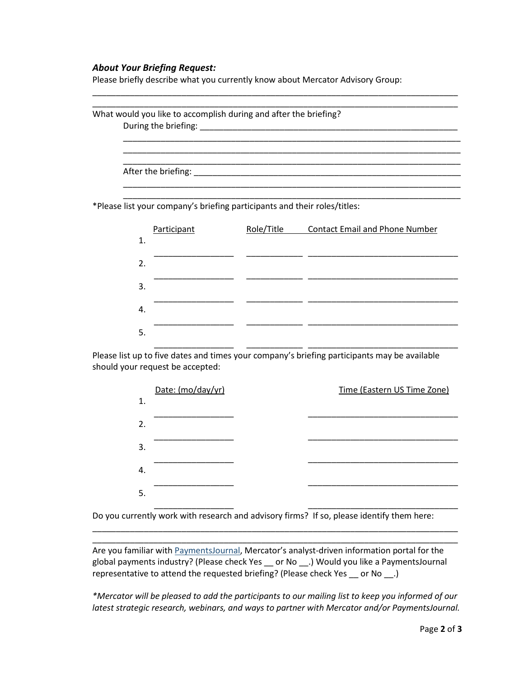## *About Your Briefing Request:*

Please briefly describe what you currently know about Mercator Advisory Group:

| What would you like to accomplish during and after the briefing?          |            |                                       |
|---------------------------------------------------------------------------|------------|---------------------------------------|
|                                                                           |            |                                       |
|                                                                           |            |                                       |
|                                                                           |            |                                       |
|                                                                           |            |                                       |
|                                                                           |            |                                       |
|                                                                           |            |                                       |
| *Please list your company's briefing participants and their roles/titles: |            |                                       |
|                                                                           |            |                                       |
| Participant                                                               | Role/Title | <b>Contact Email and Phone Number</b> |
| 1.                                                                        |            |                                       |
|                                                                           |            |                                       |
| $\overline{2}$ .                                                          |            |                                       |
| 3.                                                                        |            |                                       |
|                                                                           |            |                                       |
| 4.                                                                        |            |                                       |

\_\_\_\_\_\_\_\_\_\_\_\_\_\_\_\_\_\_\_\_\_\_\_\_\_\_\_\_\_\_\_\_\_\_\_\_\_\_\_\_\_\_\_\_\_\_\_\_\_\_\_\_\_\_\_\_\_\_\_\_\_\_\_\_\_\_\_\_\_\_\_\_\_\_\_\_\_\_

Please list up to five dates and times your company's briefing participants may be available should your request be accepted:

|    | Date: (mo/day/yr) | Time (Eastern US Time Zone) |
|----|-------------------|-----------------------------|
| 1. |                   |                             |
| 2. |                   |                             |
| 3. |                   |                             |
| 4. |                   |                             |
| 5. |                   |                             |

Do you currently work with research and advisory firms? If so, please identify them here:

Are you familiar with [PaymentsJournal,](https://www.paymentsjournal.com/) Mercator's analyst-driven information portal for the global payments industry? (Please check Yes \_\_ or No \_\_.) Would you like a PaymentsJournal representative to attend the requested briefing? (Please check Yes \_\_ or No \_\_.)

\_\_\_\_\_\_\_\_\_\_\_\_\_\_\_\_\_\_\_\_\_\_\_\_\_\_\_\_\_\_\_\_\_\_\_\_\_\_\_\_\_\_\_\_\_\_\_\_\_\_\_\_\_\_\_\_\_\_\_\_\_\_\_\_\_\_\_\_\_\_\_\_\_\_\_\_\_\_ \_\_\_\_\_\_\_\_\_\_\_\_\_\_\_\_\_\_\_\_\_\_\_\_\_\_\_\_\_\_\_\_\_\_\_\_\_\_\_\_\_\_\_\_\_\_\_\_\_\_\_\_\_\_\_\_\_\_\_\_\_\_\_\_\_\_\_\_\_\_\_\_\_\_\_\_\_\_

*\*Mercator will be pleased to add the participants to our mailing list to keep you informed of our latest strategic research, webinars, and ways to partner with Mercator and/or PaymentsJournal.*